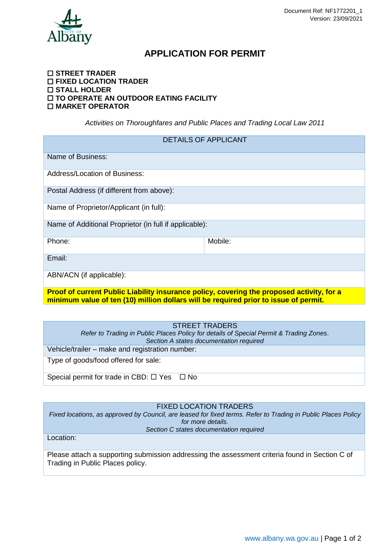

# **APPLICATION FOR PERMIT**

#### **STREET TRADER FIXED LOCATION TRADER STALL HOLDER TO OPERATE AN OUTDOOR EATING FACILITY MARKET OPERATOR**

*Activities on Thoroughfares and Public Places and Trading Local Law 2011*

| <b>DETAILS OF APPLICANT</b>                                                                                                                                                       |         |  |
|-----------------------------------------------------------------------------------------------------------------------------------------------------------------------------------|---------|--|
| Name of Business:                                                                                                                                                                 |         |  |
| <b>Address/Location of Business:</b>                                                                                                                                              |         |  |
| Postal Address (if different from above):                                                                                                                                         |         |  |
| Name of Proprietor/Applicant (in full):                                                                                                                                           |         |  |
| Name of Additional Proprietor (in full if applicable):                                                                                                                            |         |  |
| Phone:                                                                                                                                                                            | Mobile: |  |
| Email:                                                                                                                                                                            |         |  |
| ABN/ACN (if applicable):                                                                                                                                                          |         |  |
| Proof of current Public Liability insurance policy, covering the proposed activity, for a<br>minimum value of ten (10) million dollars will be required prior to issue of permit. |         |  |
|                                                                                                                                                                                   |         |  |

#### STREET TRADERS

*Refer to Trading in Public Places Policy for details of Special Permit & Trading Zones. Section A states documentation required*

Vehicle/trailer – make and registration number:

Type of goods/food offered for sale:

Special permit for trade in CBD:  $\Box$  Yes  $\Box$  No

FIXED LOCATION TRADERS

*Fixed locations, as approved by Council, are leased for fixed terms. Refer to Trading in Public Places Policy for more details. Section C states documentation required*

Location:

Please attach a supporting submission addressing the assessment criteria found in Section C of Trading in Public Places policy.